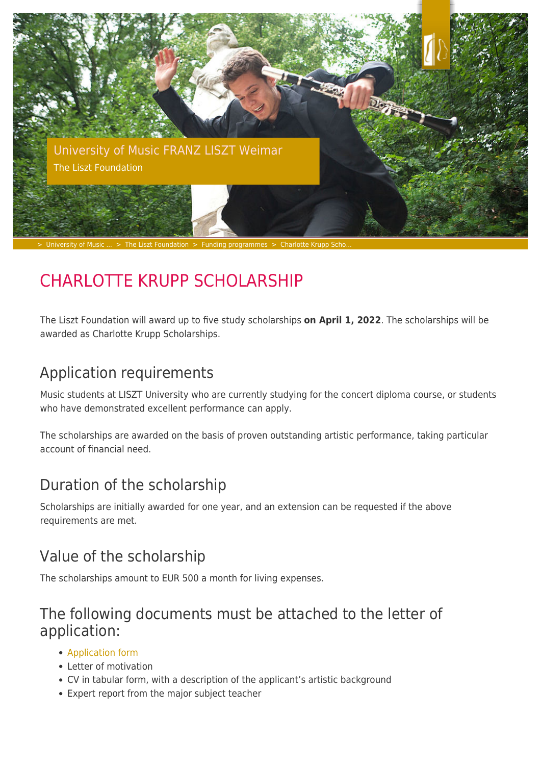

# CHARLOTTE KRUPP SCHOLARSHIP

The Liszt Foundation will award up to five study scholarships **on April 1, 2022**. The scholarships will be awarded as Charlotte Krupp Scholarships.

### Application requirements

Music students at LISZT University who are currently studying for the concert diploma course, or students who have demonstrated excellent performance can apply.

The scholarships are awarded on the basis of proven outstanding artistic performance, taking particular account of financial need.

## Duration of the scholarship

Scholarships are initially awarded for one year, and an extension can be requested if the above requirements are met.

### Value of the scholarship

The scholarships amount to EUR 500 a month for living expenses.

#### The following documents must be attached to the letter of application:

- [Application form](https://www.hfm-weimar.de/fileadmin/user_upload/stipendien/antrag_krupp-stipendium.pdf)
- Letter of motivation
- CV in tabular form, with a description of the applicant's artistic background
- Expert report from the major subject teacher